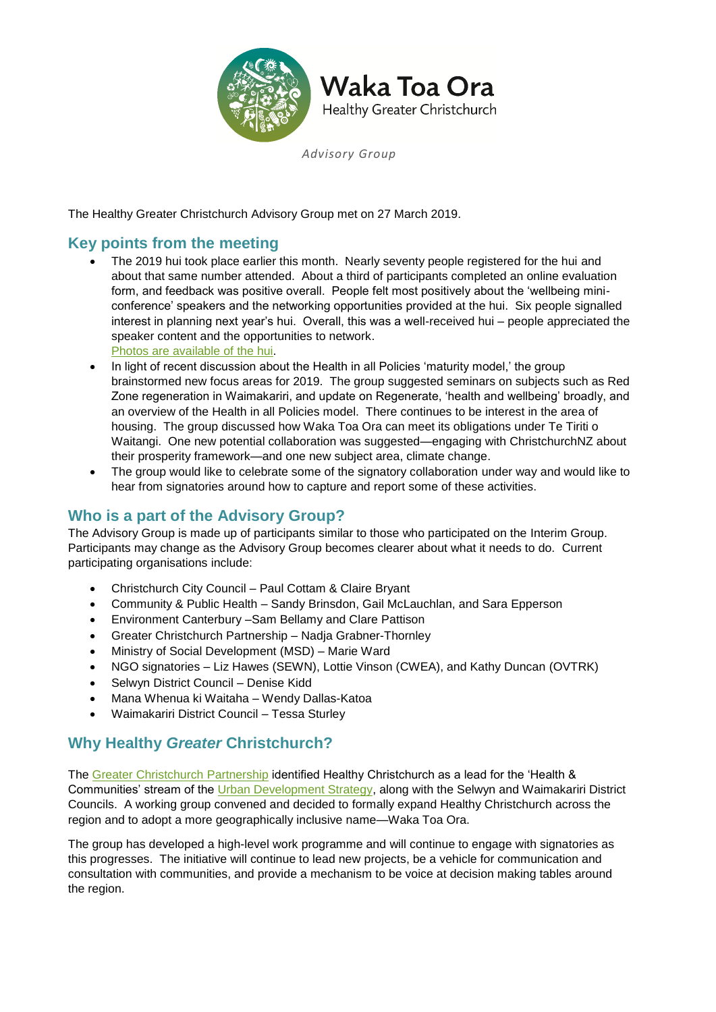

*Advisory Group*

The Healthy Greater Christchurch Advisory Group met on 27 March 2019.

## **Key points from the meeting**

 The 2019 hui took place earlier this month. Nearly seventy people registered for the hui and about that same number attended. About a third of participants completed an online evaluation form, and feedback was positive overall. People felt most positively about the 'wellbeing miniconference' speakers and the networking opportunities provided at the hui. Six people signalled interest in planning next year's hui. Overall, this was a well-received hui – people appreciated the speaker content and the opportunities to network.

[Photos are available of](https://www.slickpic.com/share/xcMNT2ZjMTDNx1/albums/WakaToaOra-Hui-March-2019?preview) the hui.

- In light of recent discussion about the Health in all Policies 'maturity model,' the group brainstormed new focus areas for 2019. The group suggested seminars on subjects such as Red Zone regeneration in Waimakariri, and update on Regenerate, 'health and wellbeing' broadly, and an overview of the Health in all Policies model. There continues to be interest in the area of housing. The group discussed how Waka Toa Ora can meet its obligations under Te Tiriti o Waitangi. One new potential collaboration was suggested—engaging with ChristchurchNZ about their prosperity framework—and one new subject area, climate change.
- The group would like to celebrate some of the signatory collaboration under way and would like to hear from signatories around how to capture and report some of these activities.

## **Who is a part of the Advisory Group?**

The Advisory Group is made up of participants similar to those who participated on the Interim Group. Participants may change as the Advisory Group becomes clearer about what it needs to do. Current participating organisations include:

- Christchurch City Council Paul Cottam & Claire Bryant
- Community & Public Health Sandy Brinsdon, Gail McLauchlan, and Sara Epperson
- Environment Canterbury –Sam Bellamy and Clare Pattison
- Greater Christchurch Partnership Nadja Grabner-Thornley
- Ministry of Social Development (MSD) Marie Ward
- NGO signatories Liz Hawes (SEWN), Lottie Vinson (CWEA), and Kathy Duncan (OVTRK)
- Selwyn District Council Denise Kidd
- Mana Whenua ki Waitaha Wendy Dallas-Katoa
- Waimakariri District Council Tessa Sturley

## **Why Healthy** *Greater* **Christchurch?**

The [Greater Christchurch Partnership](http://www.greaterchristchurch.org.nz/) identified Healthy Christchurch as a lead for the 'Health & Communities' stream of the [Urban Development Strategy,](http://www.greaterchristchurch.org.nz/strategy/) along with the Selwyn and Waimakariri District Councils. A working group convened and decided to formally expand Healthy Christchurch across the region and to adopt a more geographically inclusive name—Waka Toa Ora.

The group has developed a high-level work programme and will continue to engage with signatories as this progresses. The initiative will continue to lead new projects, be a vehicle for communication and consultation with communities, and provide a mechanism to be voice at decision making tables around the region.